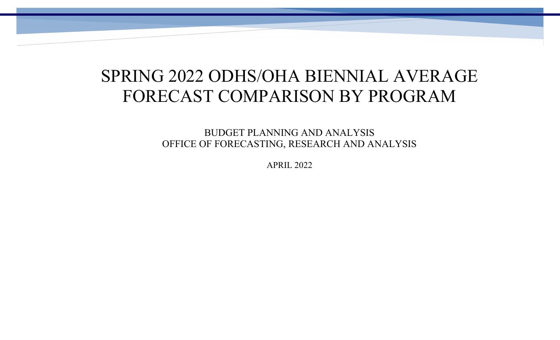# SPRING 2022 ODHS/OHA BIENNIAL AVERAGE FORECAST COMPARISON BY PROGRAM

BUDGET PLANNING AND ANALYSIS OFFICE OF FORECASTING, RESEARCH AND ANALYSIS

APRIL 2022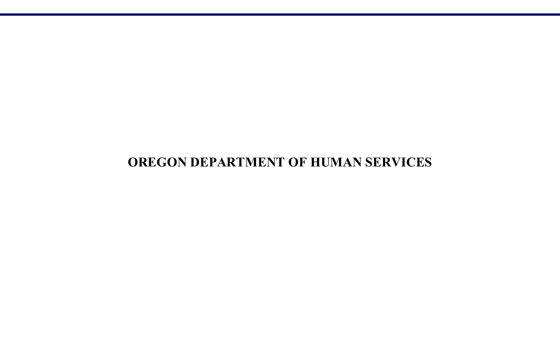## **OREGON DEPARTMENT OF HUMAN SERVICES**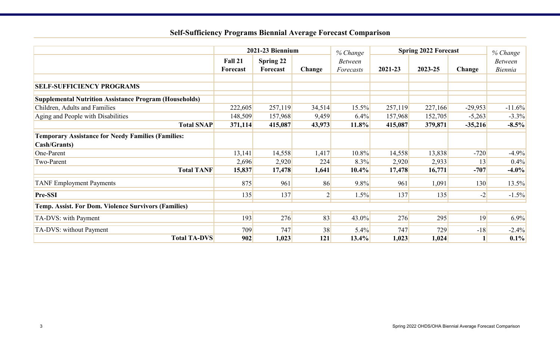## **Self-Sufficiency Programs Biennial Average Forecast Comparison**

|                                                                                   | 2021-23 Biennium    |                       |                | <b>Spring 2022 Forecast</b><br>% Change |         |         |           | % Change                  |
|-----------------------------------------------------------------------------------|---------------------|-----------------------|----------------|-----------------------------------------|---------|---------|-----------|---------------------------|
|                                                                                   | Fall 21<br>Forecast | Spring 22<br>Forecast | Change         | <b>Between</b><br>Forecasts             | 2021-23 | 2023-25 | Change    | <b>Between</b><br>Biennia |
| <b>SELF-SUFFICIENCY PROGRAMS</b>                                                  |                     |                       |                |                                         |         |         |           |                           |
| <b>Supplemental Nutrition Assistance Program (Households)</b>                     |                     |                       |                |                                         |         |         |           |                           |
| Children, Adults and Families                                                     | 222,605             | 257,119               | 34,514         | 15.5%                                   | 257,119 | 227,166 | $-29,953$ | $-11.6%$                  |
| Aging and People with Disabilities                                                | 148,509             | 157,968               | 9,459          | 6.4%                                    | 157,968 | 152,705 | $-5,263$  | $-3.3\%$                  |
| <b>Total SNAP</b>                                                                 | 371,114             | 415,087               | 43,973         | 11.8%                                   | 415,087 | 379,871 | $-35,216$ | $-8.5\%$                  |
| <b>Temporary Assistance for Needy Families (Families:</b><br><b>Cash/Grants</b> ) |                     |                       |                |                                         |         |         |           |                           |
| One-Parent                                                                        | 13,141              | 14,558                | 1,417          | 10.8%                                   | 14,558  | 13,838  | $-720$    | $-4.9%$                   |
| Two-Parent                                                                        | 2,696               | 2,920                 | 224            | 8.3%                                    | 2,920   | 2,933   | 13        | $0.4\%$                   |
| <b>Total TANF</b>                                                                 | 15,837              | 17,478                | 1,641          | 10.4%                                   | 17,478  | 16,771  | $-707$    | $-4.0\%$                  |
| <b>TANF Employment Payments</b>                                                   | 875                 | 961                   | 86             | 9.8%                                    | 961     | 1,091   | 130       | 13.5%                     |
| <b>Pre-SSI</b>                                                                    | 135                 | 137                   | $\overline{2}$ | 1.5%                                    | 137     | 135     | $-2$      | $-1.5%$                   |
| <b>Temp. Assist. For Dom. Violence Survivors (Families)</b>                       |                     |                       |                |                                         |         |         |           |                           |
| TA-DVS: with Payment                                                              | 193                 | 276                   | 83             | 43.0%                                   | 276     | 295     | 19        | 6.9%                      |
| TA-DVS: without Payment                                                           | 709                 | 747                   | 38             | 5.4%                                    | 747     | 729     | $-18$     | $-2.4\%$                  |
| <b>Total TA-DVS</b>                                                               | 902                 | 1,023                 | 121            | 13.4%                                   | 1,023   | 1,024   |           | $0.1\%$                   |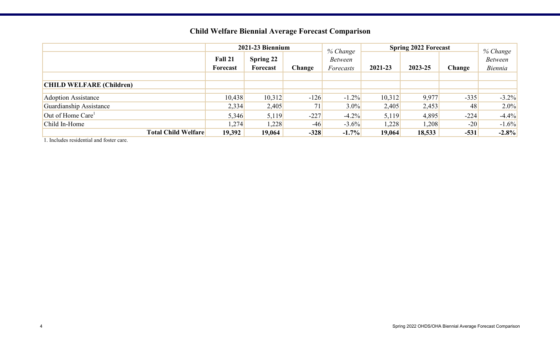|                                 | 2021-23 Biennium           |                       |        | % Change                    | <b>Spring 2022 Forecast</b> |         |        |                                       |
|---------------------------------|----------------------------|-----------------------|--------|-----------------------------|-----------------------------|---------|--------|---------------------------------------|
|                                 | Fall 21<br><b>Forecast</b> | Spring 22<br>Forecast | Change | <b>Between</b><br>Forecasts | 2021-23                     | 2023-25 | Change | % Change<br><b>Between</b><br>Biennia |
|                                 |                            |                       |        |                             |                             |         |        |                                       |
| <b>CHILD WELFARE (Children)</b> |                            |                       |        |                             |                             |         |        |                                       |
|                                 |                            |                       |        |                             |                             |         |        |                                       |
| <b>Adoption Assistance</b>      | 10,438                     | 10,312                | $-126$ | $-1.2\%$                    | 10,312                      | 9,977   | $-335$ | $-3.2\%$                              |
| Guardianship Assistance         | 2,334                      | 2,405                 | 71     | $3.0\%$                     | 2,405                       | 2,453   | 48     | $2.0\%$                               |
| Out of Home Care <sup>1</sup>   | 5,346                      | 5,119                 | $-227$ | $-4.2\%$                    | 5,119                       | 4,895   | $-224$ | $-4.4%$                               |
| Child In-Home                   | 1,274                      | 1,228                 | $-46$  | $-3.6\%$                    | 1,228                       | 1,208   | $-20$  | $-1.6\%$                              |
| <b>Total Child Welfare</b>      | 19,392                     | 19,064                | $-328$ | $-1.7\%$                    | 19,064                      | 18,533  | $-531$ | $-2.8%$                               |

## **Child Welfare Biennial Average Forecast Comparison**

1. Includes residential and foster care.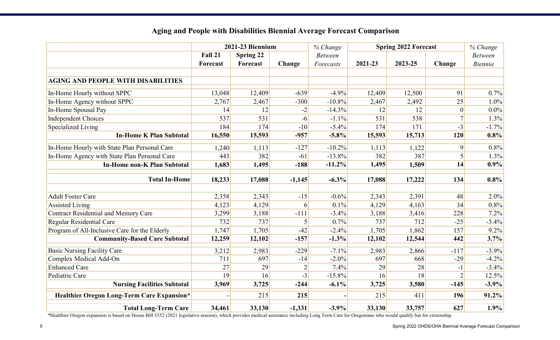|                                                   | 2021-23 Biennium |                  |                | % Change       | <b>Spring 2022 Forecast</b> |         |                  |                |
|---------------------------------------------------|------------------|------------------|----------------|----------------|-----------------------------|---------|------------------|----------------|
|                                                   | Fall 21          | <b>Spring 22</b> |                | <b>Between</b> |                             |         |                  | <b>Between</b> |
|                                                   | <b>Forecast</b>  | Forecast         | Change         | Forecasts      | 2021-23                     | 2023-25 | Change           | Biennia        |
|                                                   |                  |                  |                |                |                             |         |                  |                |
| <b>AGING AND PEOPLE WITH DISABILITIES</b>         |                  |                  |                |                |                             |         |                  |                |
| In-Home Hourly without SPPC                       | 13,048           | 12,409           | $-639$         | $-4.9%$        | 12,409                      | 12,500  | 91               | 0.7%           |
| In-Home Agency without SPPC                       | 2,767            | 2,467            | $-300$         | $-10.8%$       | 2,467                       | 2,492   | 25               | 1.0%           |
| In-Home Spousal Pay                               | 14               | 12               | $-2$           | $-14.3%$       | 12                          | 12      | $\boldsymbol{0}$ | $0.0\%$        |
| Independent Choices                               | 537              | 531              | $-6$           | $-1.1\%$       | 531                         | 538     | 7                | 1.3%           |
| <b>Specialized Living</b>                         | 184              | 174              | $-10$          | $-5.4%$        | 174                         | 171     | $-3$             | $-1.7%$        |
| <b>In-Home K Plan Subtotal</b>                    | 16,550           | 15,593           | $-957$         | $-5.8\%$       | 15,593                      | 15,713  | 120              | 0.8%           |
| In-Home Hourly with State Plan Personal Care      | 1,240            | 1,113            | $-127$         | $-10.2%$       | 1,113                       | 1,122   | 9                | 0.8%           |
| In-Home Agency with State Plan Personal Care      | 443              | 382              | $-61$          | $-13.8%$       | 382                         | 387     | 5                | 1.3%           |
| <b>In-Home non-K Plan Subtotal</b>                | 1,683            | 1,495            | $-188$         | $-11.2%$       | 1,495                       | 1,509   | 14               | 0.9%           |
| <b>Total In-Home</b>                              | 18,233           | 17,088           | $-1,145$       | $-6.3\%$       | 17,088                      | 17,222  | 134              | 0.8%           |
|                                                   |                  |                  |                |                |                             |         |                  |                |
| <b>Adult Foster Care</b>                          | 2,358            | 2,343            | $-15$          | $-0.6%$        | 2,343                       | 2,391   | 48               | 2.0%           |
| <b>Assisted Living</b>                            | 4,123            | 4,129            | 6              | 0.1%           | 4,129                       | 4,163   | 34               | 0.8%           |
| Contract Residential and Memory Care              | 3,299            | 3,188            | $-111$         | $-3.4%$        | 3,188                       | 3,416   | 228              | 7.2%           |
| <b>Regular Residential Care</b>                   | 732              | 737              | 5              | 0.7%           | 737                         | 712     | $-25$            | $-3.4%$        |
| Program of All-Inclusive Care for the Elderly     | 1,747            | 1,705            | $-42$          | $-2.4%$        | 1,705                       | 1,862   | 157              | 9.2%           |
| <b>Community-Based Care Subtotal</b>              | 12,259           | 12,102           | $-157$         | $-1.3%$        | 12,102                      | 12,544  | 442              | 3.7%           |
| <b>Basic Nursing Facility Care</b>                | 3,212            | 2,983            | $-229$         | $-7.1\%$       | 2,983                       | 2,866   | $-117$           | $-3.9%$        |
| Complex Medical Add-On                            | 711              | 697              | $-14$          | $-2.0\%$       | 697                         | 668     | $-29$            | $-4.2%$        |
| <b>Enhanced Care</b>                              | 27               | 29               | $\overline{2}$ | 7.4%           | 29                          | 28      | $-1$             | $-3.4%$        |
| Pediatric Care                                    | 19               | 16               | $-3$           | $-15.8%$       | 16                          | 18      | $\overline{2}$   | 12.5%          |
| <b>Nursing Facilities Subtotal</b>                | 3,969            | 3,725            | $-244$         | $-6.1\%$       | 3,725                       | 3,580   | $-145$           | $-3.9%$        |
| <b>Healthier Oregon Long-Term Care Expansion*</b> |                  | 215              | 215            |                | 215                         | 411     | 196              | 91.2%          |
| <b>Total Long-Term Care</b>                       | 34,461           | 33,130           | $-1,331$       | $-3.9%$        | 33,130                      | 33,757  | 627              | 1.9%           |

### **Aging and People with Disabilities Biennial Average Forecast Comparison**

\*Healthier Oregon expansion is based on House Bill 3352 (2021 legislative session), which provides medical assistance including Long Term Care for Oregonians who would qualify but for citizenship.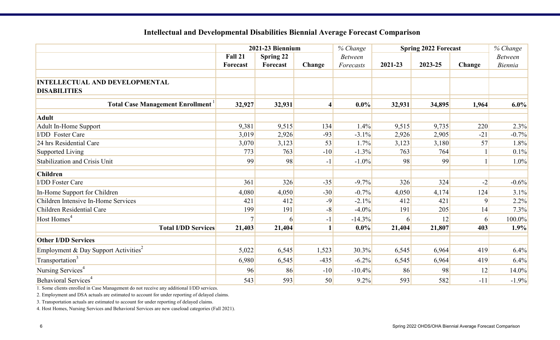|                                                              | 2021-23 Biennium |           |                | <b>Spring 2022 Forecast</b><br>% Change |         |         |                | % Change       |
|--------------------------------------------------------------|------------------|-----------|----------------|-----------------------------------------|---------|---------|----------------|----------------|
|                                                              | Fall 21          | Spring 22 |                | <b>Between</b>                          |         |         |                | <b>Between</b> |
|                                                              | <b>Forecast</b>  | Forecast  | Change         | Forecasts                               | 2021-23 | 2023-25 | Change         | Biennia        |
| <b>INTELLECTUAL AND DEVELOPMENTAL</b><br><b>DISABILITIES</b> |                  |           |                |                                         |         |         |                |                |
| <b>Total Case Management Enrollment</b>                      | 32,927           | 32,931    | $\overline{4}$ | $0.0\%$                                 | 32,931  | 34,895  | 1,964          | 6.0%           |
| <b>Adult</b>                                                 |                  |           |                |                                         |         |         |                |                |
| Adult In-Home Support                                        | 9,381            | 9,515     | 134            | 1.4%                                    | 9,515   | 9,735   | 220            | 2.3%           |
| <b>I/DD</b> Foster Care                                      | 3,019            | 2,926     | $-93$          | $-3.1%$                                 | 2,926   | 2,905   | $-21$          | $-0.7%$        |
| 24 hrs Residential Care                                      | 3,070            | 3,123     | 53             | 1.7%                                    | 3,123   | 3,180   | 57             | 1.8%           |
| Supported Living                                             | 773              | 763       | $-10$          | $-1.3%$                                 | 763     | 764     |                | 0.1%           |
| Stabilization and Crisis Unit                                | 99               | 98        | $-1$           | $-1.0\%$                                | 98      | 99      |                | 1.0%           |
| <b>Children</b>                                              |                  |           |                |                                         |         |         |                |                |
| <b>I/DD</b> Foster Care                                      | 361              | 326       | $-35$          | $-9.7%$                                 | 326     | 324     | $-2$           | $-0.6%$        |
| In-Home Support for Children                                 | 4,080            | 4,050     | $-30$          | $-0.7%$                                 | 4,050   | 4,174   | 124            | 3.1%           |
| Children Intensive In-Home Services                          | 421              | 412       | $-9$           | $-2.1%$                                 | 412     | 421     | $\overline{9}$ | 2.2%           |
| Children Residential Care                                    | 199              | 191       | $-8$           | $-4.0%$                                 | 191     | 205     | 14             | 7.3%           |
| Host Homes <sup>4</sup>                                      |                  |           | $-1$           | $-14.3%$                                |         | 12      | $\mathbf{6}$   | 100.0%         |
| <b>Total I/DD Services</b>                                   | 21,403           | 21,404    | $\mathbf 1$    | $0.0\%$                                 | 21,404  | 21,807  | 403            | 1.9%           |
| <b>Other I/DD Services</b>                                   |                  |           |                |                                         |         |         |                |                |
| Employment & Day Support Activities <sup>2</sup>             | 5,022            | 6,545     | 1,523          | 30.3%                                   | 6,545   | 6,964   | 419            | 6.4%           |
| Transportation <sup>3</sup>                                  | 6,980            | 6,545     | $-435$         | $-6.2\%$                                | 6,545   | 6,964   | 419            | 6.4%           |
| Nursing Services <sup>4</sup>                                | 96               | 86        | $-10$          | $-10.4%$                                | 86      | 98      | 12             | 14.0%          |
| Behavioral Services <sup>4</sup>                             | 543              | 593       | 50             | 9.2%                                    | 593     | 582     | $-11$          | $-1.9%$        |

#### **Intellectual and Developmental Disabilities Biennial Average Forecast Comparison**

1. Some clients enrolled in Case Management do not receive any additional I/DD services.

2. Employment and DSA actuals are estimated to account for under reporting of delayed claims.

3. Transportation actuals are estimated to account for under reporting of delayed claims.

4. Host Homes, Nursing Services and Behavioral Services are new caseload categories (Fall 2021).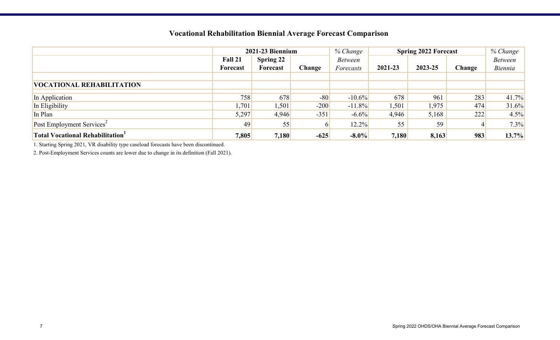### **Vocational Rehabilitation Biennial Average Forecast Comparison**

|                                        | 2021-23 Biennium |           |        | % Change       | <b>Spring 2022 Forecast</b> | % Change |        |                |
|----------------------------------------|------------------|-----------|--------|----------------|-----------------------------|----------|--------|----------------|
|                                        | Fall 21          | Spring 22 |        | <b>Between</b> |                             |          |        | <b>Between</b> |
|                                        | Forecast         | Forecast  | Change | Forecasts      | 2021-23                     | 2023-25  | Change | <b>Biennia</b> |
|                                        |                  |           |        |                |                             |          |        |                |
| <b>VOCATIONAL REHABILITATION</b>       |                  |           |        |                |                             |          |        |                |
| In Application                         | 758              | 678       | $-80$  | $-10.6\%$      | 678                         | 961      | 283    | 41.7%          |
| In Eligibility                         | 1,701            | 1,501'    | $-200$ | $-11.8\%$      | 1,501                       | 1,975    | 474    | 31.6%          |
| In Plan                                | 5,297            | 4,946     | $-351$ | $-6.6%$        | 4,946                       | 5,168    | 222    | 4.5%           |
| Post Employment Services <sup>2</sup>  | 49               | 55        |        | 12.2%          | 55                          | 59       | 4      | 7.3%           |
| <b>Total Vocational Rehabilitation</b> | 7,805            | 7,180     | $-625$ | $-8.0\%$       | 7,180                       | 8,163    | 983    | 13.7%          |

1. Starting Spring 2021, VR disability type caseload forecasts have been discontinued.

2. Post-Employment Services counts are lower due to change in its definition (Fall 2021).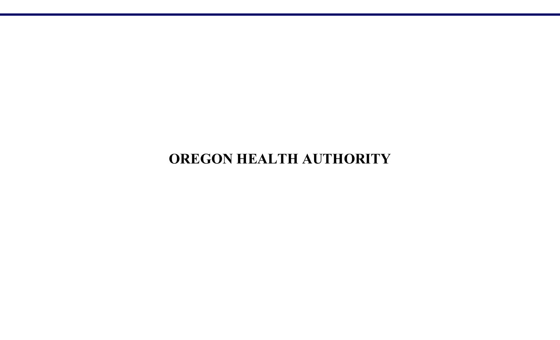## **OREGON HEALTH AUTHORITY**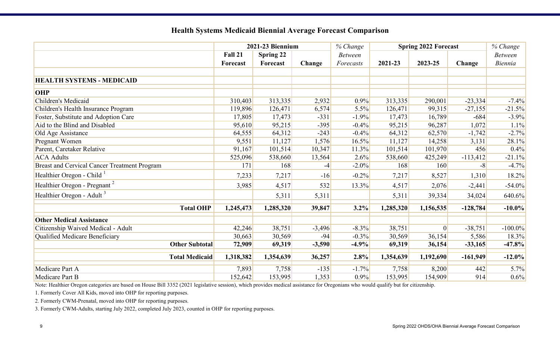|                                              |                 | 2021-23 Biennium |          | % Change       |           | <b>Spring 2022 Forecast</b> |            | % Change       |
|----------------------------------------------|-----------------|------------------|----------|----------------|-----------|-----------------------------|------------|----------------|
|                                              | Fall 21         | Spring 22        |          | <b>Between</b> |           |                             |            | <b>Between</b> |
|                                              | <b>Forecast</b> | Forecast         | Change   | Forecasts      | 2021-23   | 2023-25                     | Change     | <b>Biennia</b> |
|                                              |                 |                  |          |                |           |                             |            |                |
| <b>HEALTH SYSTEMS - MEDICAID</b>             |                 |                  |          |                |           |                             |            |                |
| <b>OHP</b>                                   |                 |                  |          |                |           |                             |            |                |
| Children's Medicaid                          | 310,403         | 313,335          | 2,932    | $0.9\%$        | 313,335   | 290,001                     | $-23,334$  | $-7.4\%$       |
| Children's Health Insurance Program          | 119,896         | 126,471          | 6,574    | 5.5%           | 126,471   | 99,315                      | $-27,155$  | $-21.5%$       |
| Foster, Substitute and Adoption Care         | 17,805          | 17,473           | $-331$   | $-1.9%$        | 17,473    | 16,789                      | $-684$     | $-3.9\%$       |
| Aid to the Blind and Disabled                | 95,610          | 95,215           | $-395$   | $-0.4%$        | 95,215    | 96,287                      | 1,072      | 1.1%           |
| Old Age Assistance                           | 64,555          | 64,312           | $-243$   | $-0.4%$        | 64,312    | 62,570                      | $-1,742$   | $-2.7%$        |
| Pregnant Women                               | 9,551           | 11,127           | 1,576    | 16.5%          | 11,127    | 14,258                      | 3,131      | 28.1%          |
| Parent, Caretaker Relative                   | 91,167          | 101,514          | 10,347   | 11.3%          | 101,514   | 101,970                     | 456        | 0.4%           |
| <b>ACA Adults</b>                            | 525,096         | 538,660          | 13,564   | 2.6%           | 538,660   | 425,249                     | $-113,412$ | $-21.1\%$      |
| Breast and Cervical Cancer Treatment Program | 171             | 168              | $-4$     | $-2.0%$        | 168       | 160                         | $-8$       | $-4.7%$        |
| Healthier Oregon - Child <sup>1</sup>        | 7,233           | 7,217            | $-16$    | $-0.2%$        | 7,217     | 8,527                       | 1,310      | 18.2%          |
| Healthier Oregon - Pregnant <sup>2</sup>     | 3,985           | 4,517            | 532      | 13.3%          | 4,517     | 2,076                       | $-2,441$   | $-54.0\%$      |
| Healthier Oregon - Adult <sup>3</sup>        |                 | 5,311            | 5,311    |                | 5,311     | 39,334                      | 34,024     | 640.6%         |
| <b>Total OHP</b>                             | 1,245,473       | 1,285,320        | 39,847   | 3.2%           | 1,285,320 | 1,156,535                   | $-128,784$ | $-10.0\%$      |
| <b>Other Medical Assistance</b>              |                 |                  |          |                |           |                             |            |                |
| Citizenship Waived Medical - Adult           | 42,246          | 38,751           | $-3,496$ | $-8.3%$        | 38,751    | $\vert 0 \vert$             | $-38,751$  | $-100.0\%$     |
| Qualified Medicare Beneficiary               | 30,663          | 30,569           | $-94$    | $-0.3%$        | 30,569    | 36,154                      | 5,586      | 18.3%          |
| <b>Other Subtotal</b>                        | 72,909          | 69,319           | $-3,590$ | $-4.9%$        | 69,319    | 36,154                      | $-33,165$  | $-47.8%$       |
| <b>Total Medicaid</b>                        | 1,318,382       | 1,354,639        | 36,257   | 2.8%           | 1,354,639 | 1,192,690                   | $-161,949$ | $-12.0%$       |
| Medicare Part A                              | 7,893           | 7,758            | $-135$   | $-1.7%$        | 7,758     | 8,200                       | 442        | 5.7%           |
| Medicare Part B                              | 152,642         | 153,995          | 1,353    | 0.9%           | 153,995   | 154,909                     | 914        | $0.6\%$        |

#### **Health Systems Medicaid Biennial Average Forecast Comparison**

Note: Healthier Oregon categories are based on House Bill 3352 (2021 legislative session), which provides medical assistance for Oregonians who would qualify but for citizenship.

1. Formerly Cover All Kids, moved into OHP for reporting purposes.

2. Formerly CWM-Prenatal, moved into OHP for reporting purposes.

3. Formerly CWM-Adults, starting July 2022, completed July 2023, counted in OHP for reporting purposes.